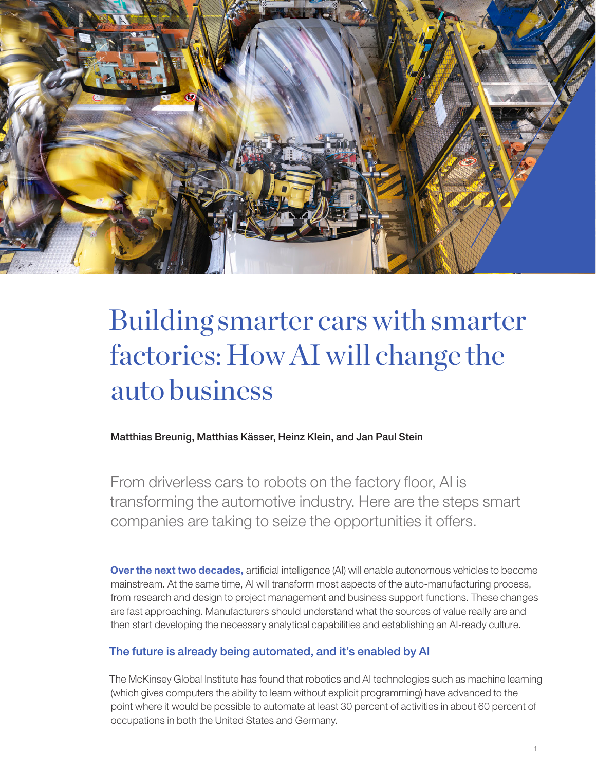

# Building smarter cars with smarter factories: How AI will change the auto business

Matthias Breunig, Matthias Kässer, Heinz Klein, and Jan Paul Stein

From driverless cars to robots on the factory floor, AI is transforming the automotive industry. Here are the steps smart companies are taking to seize the opportunities it offers.

**Over the next two decades, artificial intelligence (AI) will enable autonomous vehicles to become** mainstream. At the same time, AI will transform most aspects of the auto-manufacturing process, from research and design to project management and business support functions. These changes are fast approaching. Manufacturers should understand what the sources of value really are and then start developing the necessary analytical capabilities and establishing an AI-ready culture.

## The future is already being automated, and it's enabled by AI

The McKinsey Global Institute has found that robotics and AI technologies such as machine learning (which gives computers the ability to learn without explicit programming) have advanced to the point where it would be possible to automate at least 30 percent of activities in about 60 percent of occupations in both the United States and Germany.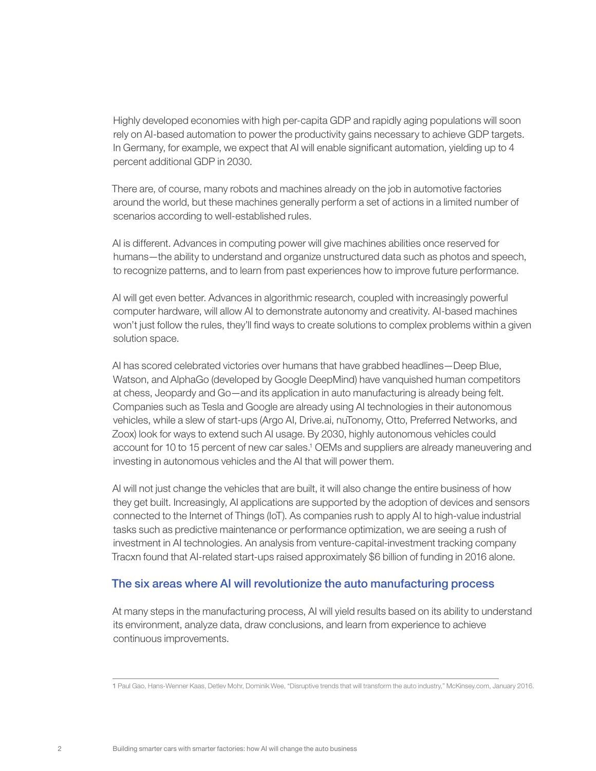Highly developed economies with high per-capita GDP and rapidly aging populations will soon rely on AI-based automation to power the productivity gains necessary to achieve GDP targets. In Germany, for example, we expect that AI will enable significant automation, yielding up to 4 percent additional GDP in 2030.

There are, of course, many robots and machines already on the job in automotive factories around the world, but these machines generally perform a set of actions in a limited number of scenarios according to well-established rules.

AI is different. Advances in computing power will give machines abilities once reserved for humans—the ability to understand and organize unstructured data such as photos and speech, to recognize patterns, and to learn from past experiences how to improve future performance.

AI will get even better. Advances in algorithmic research, coupled with increasingly powerful computer hardware, will allow AI to demonstrate autonomy and creativity. AI-based machines won't just follow the rules, they'll find ways to create solutions to complex problems within a given solution space.

AI has scored celebrated victories over humans that have grabbed headlines—Deep Blue, Watson, and AlphaGo (developed by Google DeepMind) have vanquished human competitors at chess, Jeopardy and Go—and its application in auto manufacturing is already being felt. Companies such as Tesla and Google are already using AI technologies in their autonomous vehicles, while a slew of start-ups (Argo AI, Drive.ai, nuTonomy, Otto, Preferred Networks, and Zoox) look for ways to extend such AI usage. By 2030, highly autonomous vehicles could account for 10 to 15 percent of new car sales.<sup>1</sup> OEMs and suppliers are already maneuvering and investing in autonomous vehicles and the AI that will power them.

AI will not just change the vehicles that are built, it will also change the entire business of how they get built. Increasingly, AI applications are supported by the adoption of devices and sensors connected to the Internet of Things (IoT). As companies rush to apply AI to high-value industrial tasks such as predictive maintenance or performance optimization, we are seeing a rush of investment in AI technologies. An analysis from venture-capital-investment tracking company Tracxn found that AI-related start-ups raised approximately \$6 billion of funding in 2016 alone.

### The six areas where AI will revolutionize the auto manufacturing process

At many steps in the manufacturing process, AI will yield results based on its ability to understand its environment, analyze data, draw conclusions, and learn from experience to achieve continuous improvements.

<sup>1</sup> Paul Gao, Hans-Wenner Kaas, Detlev Mohr, Dominik Wee, "Disruptive trends that will transform the auto industry," McKinsey.com, January 2016.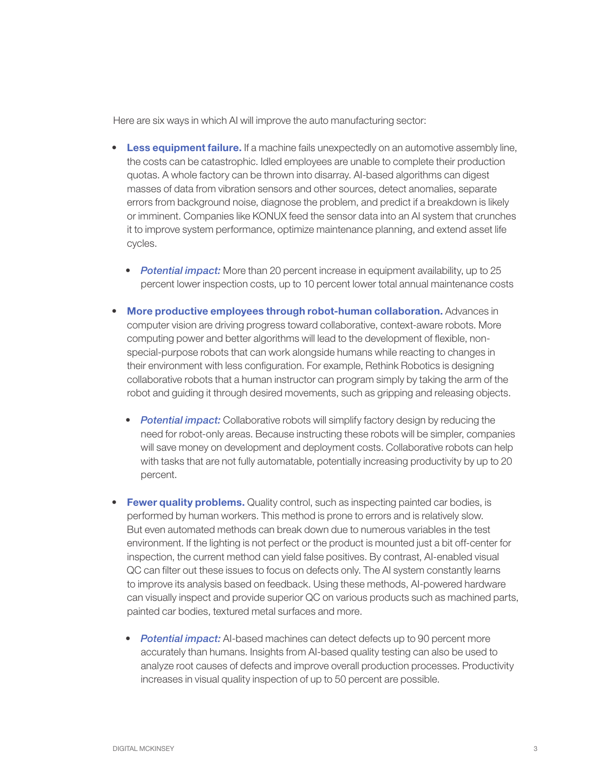Here are six ways in which AI will improve the auto manufacturing sector:

- Less equipment failure. If a machine fails unexpectedly on an automotive assembly line, the costs can be catastrophic. Idled employees are unable to complete their production quotas. A whole factory can be thrown into disarray. AI-based algorithms can digest masses of data from vibration sensors and other sources, detect anomalies, separate errors from background noise, diagnose the problem, and predict if a breakdown is likely or imminent. Companies like KONUX feed the sensor data into an AI system that crunches it to improve system performance, optimize maintenance planning, and extend asset life cycles.
	- *Potential impact:* More than 20 percent increase in equipment availability, up to 25 percent lower inspection costs, up to 10 percent lower total annual maintenance costs
- More productive employees through robot-human collaboration. Advances in computer vision are driving progress toward collaborative, context-aware robots. More computing power and better algorithms will lead to the development of flexible, nonspecial-purpose robots that can work alongside humans while reacting to changes in their environment with less configuration. For example, Rethink Robotics is designing collaborative robots that a human instructor can program simply by taking the arm of the robot and guiding it through desired movements, such as gripping and releasing objects.
	- *Potential impact:* Collaborative robots will simplify factory design by reducing the need for robot-only areas. Because instructing these robots will be simpler, companies will save money on development and deployment costs. Collaborative robots can help with tasks that are not fully automatable, potentially increasing productivity by up to 20 percent.
- Fewer quality problems. Quality control, such as inspecting painted car bodies, is performed by human workers. This method is prone to errors and is relatively slow. But even automated methods can break down due to numerous variables in the test environment. If the lighting is not perfect or the product is mounted just a bit off-center for inspection, the current method can yield false positives. By contrast, AI-enabled visual QC can filter out these issues to focus on defects only. The AI system constantly learns to improve its analysis based on feedback. Using these methods, AI-powered hardware can visually inspect and provide superior QC on various products such as machined parts, painted car bodies, textured metal surfaces and more.
	- **Potential impact:** AI-based machines can detect defects up to 90 percent more accurately than humans. Insights from AI-based quality testing can also be used to analyze root causes of defects and improve overall production processes. Productivity increases in visual quality inspection of up to 50 percent are possible.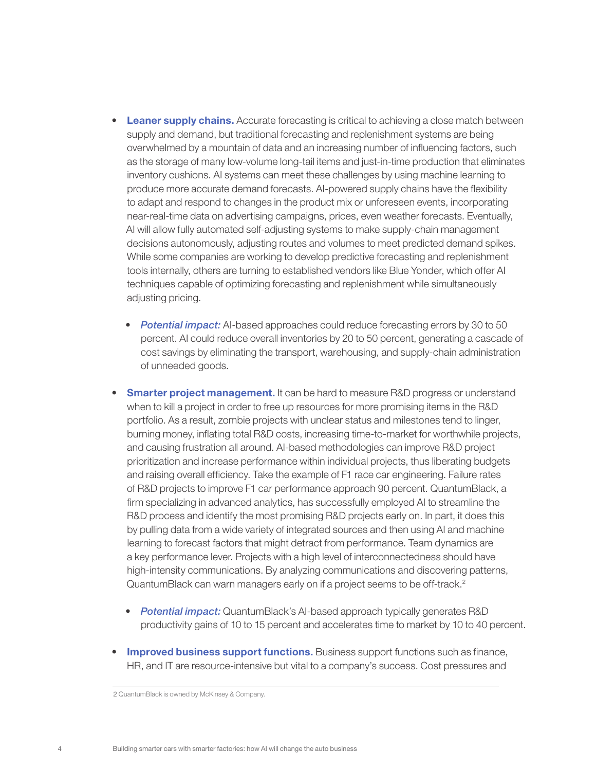- Leaner supply chains. Accurate forecasting is critical to achieving a close match between supply and demand, but traditional forecasting and replenishment systems are being overwhelmed by a mountain of data and an increasing number of influencing factors, such as the storage of many low-volume long-tail items and just-in-time production that eliminates inventory cushions. AI systems can meet these challenges by using machine learning to produce more accurate demand forecasts. AI-powered supply chains have the flexibility to adapt and respond to changes in the product mix or unforeseen events, incorporating near-real-time data on advertising campaigns, prices, even weather forecasts. Eventually, AI will allow fully automated self-adjusting systems to make supply-chain management decisions autonomously, adjusting routes and volumes to meet predicted demand spikes. While some companies are working to develop predictive forecasting and replenishment tools internally, others are turning to established vendors like Blue Yonder, which offer AI techniques capable of optimizing forecasting and replenishment while simultaneously adjusting pricing.
	- *Potential impact:* AI-based approaches could reduce forecasting errors by 30 to 50 percent. AI could reduce overall inventories by 20 to 50 percent, generating a cascade of cost savings by eliminating the transport, warehousing, and supply-chain administration of unneeded goods.
- **Smarter project management.** It can be hard to measure R&D progress or understand when to kill a project in order to free up resources for more promising items in the R&D portfolio. As a result, zombie projects with unclear status and milestones tend to linger, burning money, inflating total R&D costs, increasing time-to-market for worthwhile projects, and causing frustration all around. AI-based methodologies can improve R&D project prioritization and increase performance within individual projects, thus liberating budgets and raising overall efficiency. Take the example of F1 race car engineering. Failure rates of R&D projects to improve F1 car performance approach 90 percent. QuantumBlack, a firm specializing in advanced analytics, has successfully employed AI to streamline the R&D process and identify the most promising R&D projects early on. In part, it does this by pulling data from a wide variety of integrated sources and then using AI and machine learning to forecast factors that might detract from performance. Team dynamics are a key performance lever. Projects with a high level of interconnectedness should have high-intensity communications. By analyzing communications and discovering patterns, QuantumBlack can warn managers early on if a project seems to be off-track.<sup>2</sup>
	- *Potential impact:* QuantumBlack's AI-based approach typically generates R&D productivity gains of 10 to 15 percent and accelerates time to market by 10 to 40 percent.
- **Improved business support functions.** Business support functions such as finance, HR, and IT are resource-intensive but vital to a company's success. Cost pressures and

<sup>2</sup> QuantumBlack is owned by McKinsey & Company.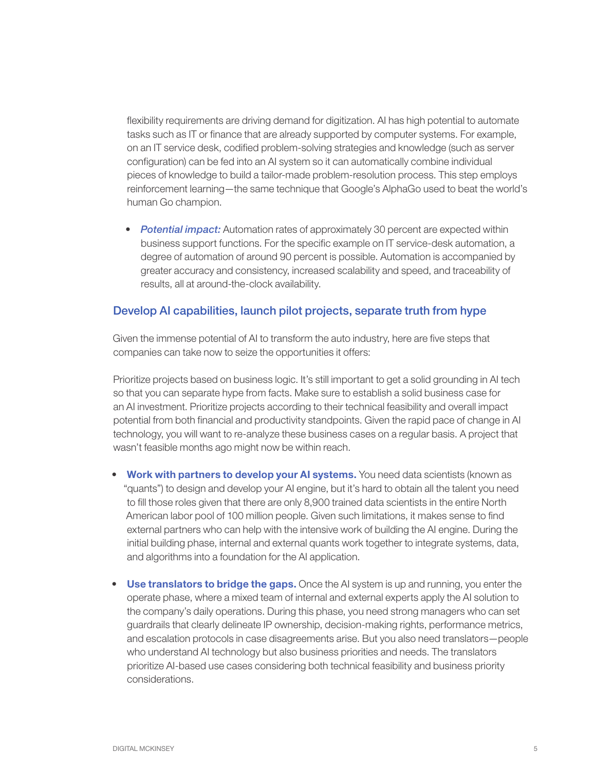flexibility requirements are driving demand for digitization. AI has high potential to automate tasks such as IT or finance that are already supported by computer systems. For example, on an IT service desk, codified problem-solving strategies and knowledge (such as server configuration) can be fed into an AI system so it can automatically combine individual pieces of knowledge to build a tailor-made problem-resolution process. This step employs reinforcement learning—the same technique that Google's AlphaGo used to beat the world's human Go champion.

• **Potential impact:** Automation rates of approximately 30 percent are expected within business support functions. For the specific example on IT service-desk automation, a degree of automation of around 90 percent is possible. Automation is accompanied by greater accuracy and consistency, increased scalability and speed, and traceability of results, all at around-the-clock availability.

### Develop AI capabilities, launch pilot projects, separate truth from hype

Given the immense potential of AI to transform the auto industry, here are five steps that companies can take now to seize the opportunities it offers:

Prioritize projects based on business logic. It's still important to get a solid grounding in AI tech so that you can separate hype from facts. Make sure to establish a solid business case for an AI investment. Prioritize projects according to their technical feasibility and overall impact potential from both financial and productivity standpoints. Given the rapid pace of change in AI technology, you will want to re-analyze these business cases on a regular basis. A project that wasn't feasible months ago might now be within reach.

- Work with partners to develop your AI systems. You need data scientists (known as "quants") to design and develop your AI engine, but it's hard to obtain all the talent you need to fill those roles given that there are only 8,900 trained data scientists in the entire North American labor pool of 100 million people. Given such limitations, it makes sense to find external partners who can help with the intensive work of building the AI engine. During the initial building phase, internal and external quants work together to integrate systems, data, and algorithms into a foundation for the AI application.
- Use translators to bridge the gaps. Once the AI system is up and running, you enter the operate phase, where a mixed team of internal and external experts apply the AI solution to the company's daily operations. During this phase, you need strong managers who can set guardrails that clearly delineate IP ownership, decision-making rights, performance metrics, and escalation protocols in case disagreements arise. But you also need translators—people who understand AI technology but also business priorities and needs. The translators prioritize AI-based use cases considering both technical feasibility and business priority considerations.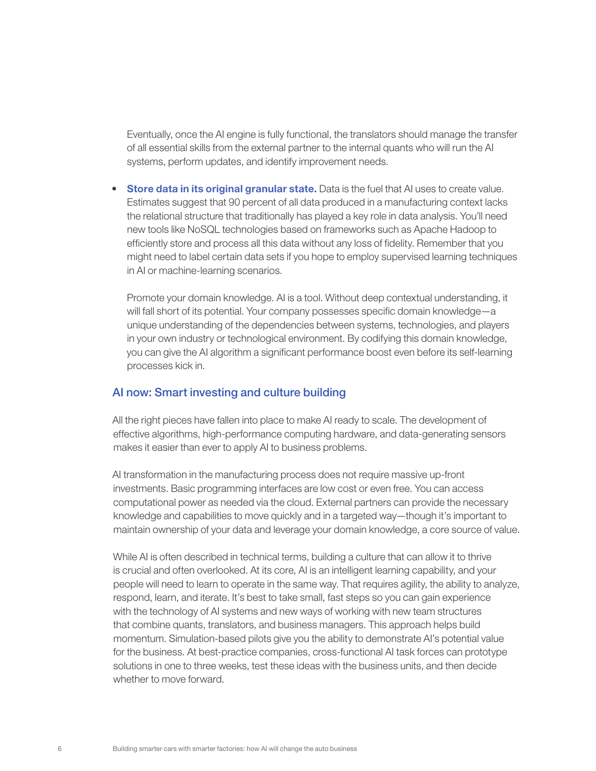Eventually, once the AI engine is fully functional, the translators should manage the transfer of all essential skills from the external partner to the internal quants who will run the AI systems, perform updates, and identify improvement needs.

• Store data in its original granular state. Data is the fuel that AI uses to create value. Estimates suggest that 90 percent of all data produced in a manufacturing context lacks the relational structure that traditionally has played a key role in data analysis. You'll need new tools like NoSQL technologies based on frameworks such as Apache Hadoop to efficiently store and process all this data without any loss of fidelity. Remember that you might need to label certain data sets if you hope to employ supervised learning techniques in AI or machine-learning scenarios.

Promote your domain knowledge. AI is a tool. Without deep contextual understanding, it will fall short of its potential. Your company possesses specific domain knowledge—a unique understanding of the dependencies between systems, technologies, and players in your own industry or technological environment. By codifying this domain knowledge, you can give the AI algorithm a significant performance boost even before its self-learning processes kick in.

### AI now: Smart investing and culture building

All the right pieces have fallen into place to make AI ready to scale. The development of effective algorithms, high-performance computing hardware, and data-generating sensors makes it easier than ever to apply AI to business problems.

AI transformation in the manufacturing process does not require massive up-front investments. Basic programming interfaces are low cost or even free. You can access computational power as needed via the cloud. External partners can provide the necessary knowledge and capabilities to move quickly and in a targeted way—though it's important to maintain ownership of your data and leverage your domain knowledge, a core source of value.

While AI is often described in technical terms, building a culture that can allow it to thrive is crucial and often overlooked. At its core, AI is an intelligent learning capability, and your people will need to learn to operate in the same way. That requires agility, the ability to analyze, respond, learn, and iterate. It's best to take small, fast steps so you can gain experience with the technology of AI systems and new ways of working with new team structures that combine quants, translators, and business managers. This approach helps build momentum. Simulation-based pilots give you the ability to demonstrate AI's potential value for the business. At best-practice companies, cross-functional AI task forces can prototype solutions in one to three weeks, test these ideas with the business units, and then decide whether to move forward